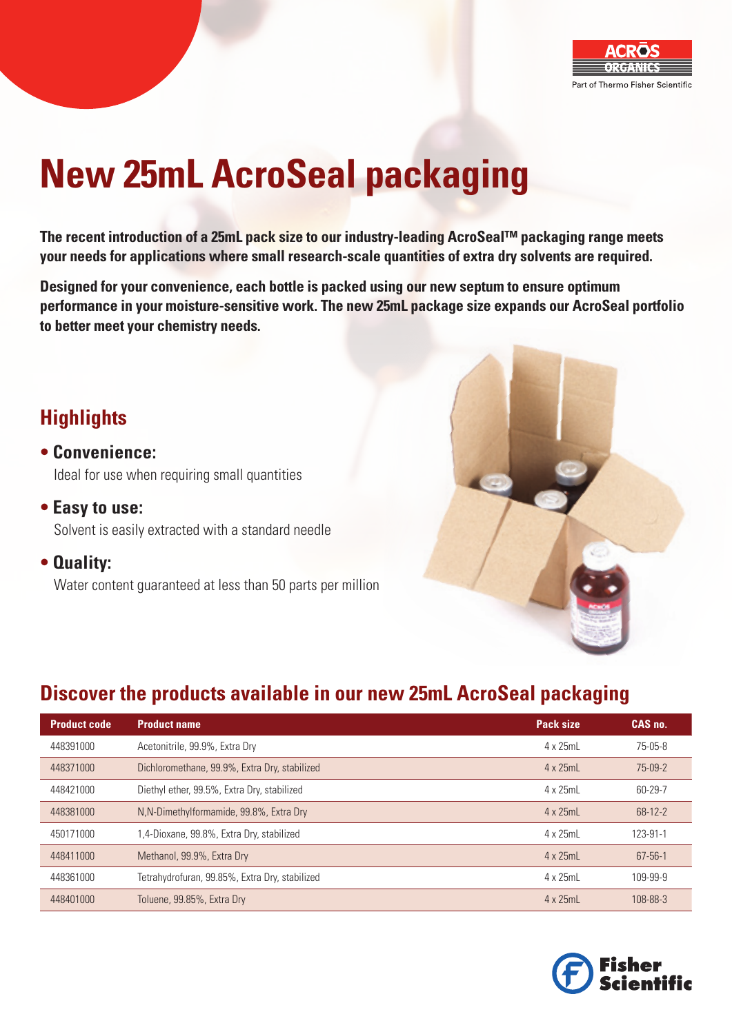

# **New 25mL AcroSeal packaging**

**The recent introduction of a 25mL pack size to our industry-leading AcroSeal™ packaging range meets your needs for applications where small research-scale quantities of extra dry solvents are required.**

**Designed for your convenience, each bottle is packed using our new septum to ensure optimum performance in your moisture-sensitive work. The new 25mL package size expands our AcroSeal portfolio to better meet your chemistry needs.** 

## **Highlights**

- **Convenience:** Ideal for use when requiring small quantities
- **Easy to use:** Solvent is easily extracted with a standard needle
- **Quality:**

Water content guaranteed at less than 50 parts per million



## **Discover the products available in our new 25mL AcroSeal packaging**

| <b>Product code</b> | <b>Product name</b>                            | <b>Pack size</b> | CAS no.       |
|---------------------|------------------------------------------------|------------------|---------------|
| 448391000           | Acetonitrile, 99.9%, Extra Dry                 | 4 x 25mL         | $75-05-8$     |
| 448371000           | Dichloromethane, 99.9%, Extra Dry, stabilized  | 4 x 25mL         | $75-09-2$     |
| 448421000           | Diethyl ether, 99.5%, Extra Dry, stabilized    | 4 x 25mL         | 60-29-7       |
| 448381000           | N, N-Dimethylformamide, 99.8%, Extra Dry       | $4 \times 25$ mL | $68 - 12 - 2$ |
| 450171000           | .4-Dioxane, 99.8%, Extra Dry, stabilized       | 4 x 25mL         | 123-91-1      |
| 448411000           | Methanol, 99.9%, Extra Dry                     | 4 x 25mL         | $67 - 56 - 1$ |
| 448361000           | Tetrahydrofuran, 99.85%, Extra Dry, stabilized | 4 x 25mL         | 109-99-9      |
| 448401000           | Toluene, 99.85%, Extra Dry                     | 4 x 25mL         | 108-88-3      |